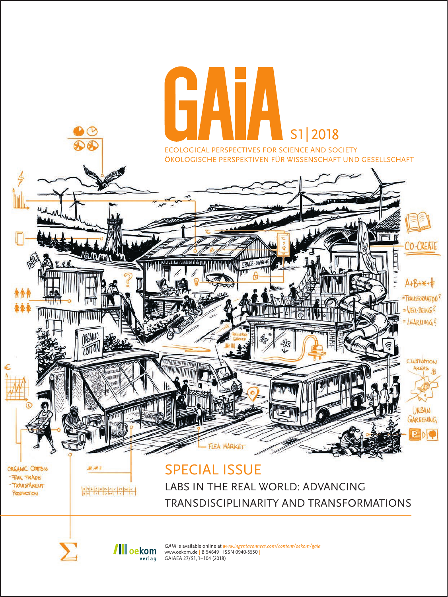



*GAIA* is available online at *www.ingentaconnect.com/content/oekom/gaia* www.oekom.de | B 54649 | ISSN 0940-5550 | GAIAEA 27/S1, 1–104 (2018)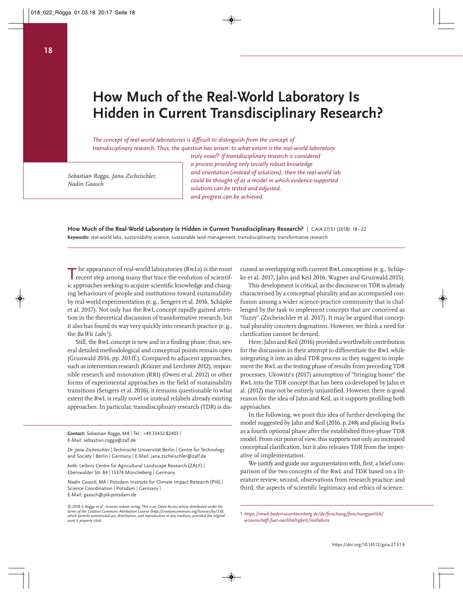# **How Much of the Real-World Laboratory Is Hidden in Current Transdisciplinary Research?**

*The concept of real-world laboratories is difficult to distinguish from the concept of transdisciplinary research. Thus, the question has arisen: to what extent is the real-world laboratory* 

> *truly novel? If transdisciplinary research is considered a process providing only socially robust knowledge and orientation (instead of solutions), then the real-world lab could be thought of as a model in which evidence-supported solutions can be tested and adjusted, and progress can be achieved.*

*Sebastian Rogga, Jana Zscheischler, Nadin Gaasch*

**How Much of the Real-World Laboratory Is Hidden in Current Transdisciplinary Research?** | *GAIA* 27/S1(2018): 18 – 22 **Keywords:** real-world labs, sustainability science, sustainable land management, transdisciplinarity, transformative research

- he appearance of real-world laboratories (RwLs) is the most The appearance of real-world laboratories (RwLs) is the most<br>recent step among many that trace the evolution of scientific approaches seeking to acquire scientific knowledge and changing behaviours of people and institutions toward sustainability by real-world experimentation (e.g., Sengers et al. 2016, Schäpke et al. 2017). Not only has the RwL concept rapidly gained attention in the theoretical discussion of transformative research, but it also has found its way very quickly into research practice (e.g., the *BaWü Labs*<sup>1</sup>).

Still, the RwL concept is new and in a finding phase; thus, several detailed methodological and conceptual points remain open (Grunwald 2016, pp. 203ff.). Compared to adjacent approaches, such as intervention research (Krainer and Lerchster 2012), responsible research and innovation (RRI) (Owen et al. 2012) or other forms of experimental approaches in the field of sustainability transitions (Sengers et al. 2016), it remains questionable to what extent the RwL is really novel or instead relabels already existing approaches. In particular, transdisciplinary research (TDR) is dis-

**Contact:** *Sebastian Rogga, MA* | Tel.: +49 33432 82403 | E-Mail: sebastian.rogga@zalf.de

*Dr. Jana Zscheischler* | Technische Universität Berlin | Centre for Technology and Society | Berlin | Germany | E-Mail: jana.zscheischler@zalf.de

*both:* Leibniz Centre for Agricultural Landscape Research (ZALF) | Eberswalder Str. 84 | 15374 Müncheberg | Germany

*Nadin Gaasch, MA* | Potsdam Institute for Climate Impact Research (PIK) | Science Coordination | Potsdam | Germany | E-Mail: gaasch@pik-potsdam.de

*©2018 S. Rogga et al.; licensee oekom verlag.This is an Open Access article distributed under the terms of the Creative Commons Attribution License (http://creativecommons.org/licenses/by/3.0), which permits unrestricted use, distribution, and reproduction in any medium, provided the original work is properly cited.*

cussed as overlapping with current RwL conceptions (e.g., Schäpke et al. 2017, Jahn and Keil 2016, Wagner and Grunwald 2015).

This development is critical, as the discourse on TDR is already characterised by a conceptual plurality and an accompanied confusion among a wider science-practice community that is challenged by the task to implement concepts that are conceived as "fuzzy" (Zscheischler et al. 2017). It may be argued that conceptual plurality counters dogmatism. However, we think a need for clarification cannot be denied.

Here, Jahn and Keil (2016) provided a worthwhile contribution for the discussion in their attempt to differentiate the RwL while integrating it into an ideal TDR process as they suggest to imple ment the RwL as the testing phase of results from preceding TDR processes. Ukowitz's (2017) assumption of "bringing home" the RwL into the TDR concept that has been co-developed by Jahn et al. (2012) may not be entirely unjustified. However, there is good reason for the idea of Jahn and Keil, as it supports profiling both approaches.

In the following, we posit this idea of further developing the model suggested by Jahn and Keil (2016, p.248) and placing RwLs as a fourth optional phase after the established three-phase TDR model. From our point of view, this supports not only an increased conceptual clarification, but it also releases TDR from the imper ative of implementation.

We justify and guide our argumentation with, first, a brief comparison of the two concepts of the RwL and TDR based on a literature review; second, observations from research practice; and third, the aspects of scientific legitimacy and ethics of science.

1 *https://mwk.baden-wuerttemberg.de/de/forschung/forschungspolitik/ wissenschaft-fuer-nachhaltigkeit/reallabore*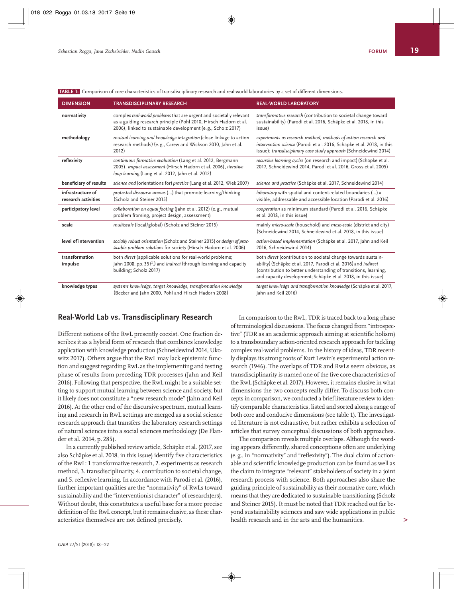| <b>DIMENSION</b>                         | <b>TRANSDISCIPLINARY RESEARCH</b>                                                                                                                                                                       | <b>REAL-WORLD LABORATORY</b>                                                                                                                                                                                                                                         |
|------------------------------------------|---------------------------------------------------------------------------------------------------------------------------------------------------------------------------------------------------------|----------------------------------------------------------------------------------------------------------------------------------------------------------------------------------------------------------------------------------------------------------------------|
| normativity                              | complex real-world problems that are urgent and societally relevant<br>as a guiding research principle (Pohl 2010, Hirsch Hadorn et al.<br>2006), linked to sustainable development (e.g., Scholz 2017) | transformative research (contribution to societal change toward<br>sustainability) (Parodi et al. 2016, Schäpke et al. 2018, in this<br>issue)                                                                                                                       |
| methodology                              | mutual learning and knowledge integration (close linkage to action<br>research methods) (e.g., Carew and Wickson 2010, Jahn et al.<br>2012)                                                             | experiments as research method; methods of action research and<br>intervention science (Parodi et al. 2016, Schäpke et al. 2018, in this<br>issue); transdisciplinary case study approach (Schneidewind 2014)                                                        |
| reflexivity                              | continuous formative evaluation (Lang et al. 2012, Bergmann<br>2005), impact assessment (Hirsch Hadorn et al. 2006), iterative<br>loop learning (Lang et al. 2012, Jahn et al. 2012)                    | recursive learning cycles (on research and impact) (Schäpke et al.<br>2017, Schneidewind 2014, Parodi et al. 2016, Gross et al. 2005)                                                                                                                                |
| beneficiary of results                   | science and (orientations for) practice (Lang et al. 2012, Wiek 2007)                                                                                                                                   | science and practice (Schäpke et al. 2017, Schneidewind 2014)                                                                                                                                                                                                        |
| infrastructure of<br>research activities | protected discourse arenas () that promote learning/thinking<br>(Scholz and Steiner 2015)                                                                                                               | laboratory with spatial and content-related boundaries () a<br>visible, addressable and accessible location (Parodi et al. 2016)                                                                                                                                     |
| participatory level                      | collaboration on equal footing (Jahn et al. 2012) (e.g., mutual<br>problem framing, project design, assessment)                                                                                         | cooperation as minimum standard (Parodi et al. 2016, Schäpke<br>et al. 2018, in this issue)                                                                                                                                                                          |
| scale                                    | multiscale (local/global) (Scholz and Steiner 2015)                                                                                                                                                     | mainly micro-scale (household) and meso-scale (district and city)<br>(Schneidewind 2014, Schneidewind et al. 2018, in this issue)                                                                                                                                    |
| level of intervention                    | socially robust orientation (Scholz and Steiner 2015) or design of prac-<br>ticable problem solutions for society (Hirsch Hadorn et al. 2006)                                                           | action-based implementation (Schäpke et al. 2017, Jahn and Keil<br>2016, Schneidewind 2014)                                                                                                                                                                          |
| transformation<br>impulse                | both direct (applicable solutions for real-world problems;<br>Jahn 2008, pp. 35 ff.) and indirect (through learning and capacity<br>building; Scholz 2017)                                              | both direct (contribution to societal change towards sustain-<br>ability) (Schäpke et al. 2017, Parodi et al. 2016) and indirect<br>(contribution to better understanding of transitions, learning,<br>and capacity development; Schäpke et al. 2018, in this issue) |
| knowledge types                          | systems knowledge, target knowledge, transformation knowledge<br>(Becker and Jahn 2000, Pohl and Hirsch Hadorn 2008)                                                                                    | target knowledge and transformation knowledge (Schäpke et al. 2017,<br>Jahn and Keil 2016)                                                                                                                                                                           |

**TABLE 1:** Comparison of core characteristics of transdisciplinary research and real-world laboratories by a set of different dimensions.

#### **Real-World Lab vs. Transdisciplinary Research**

Different notions of the RwL presently coexist. One fraction describes it as a hybrid form of research that combines knowledge application with knowledge production (Schneidewind 2014, Ukowitz 2017). Others argue that the RwL may lack epistemic function and suggest regarding RwL as the implementing and testing phase of results from preceding TDR processes (Jahn and Keil 2016). Following that perspective, the RwL might be a suitable setting to support mutual learning between science and society, but it likely does not constitute a "new research mode" (Jahn and Keil 2016). At the other end of the discursive spectrum, mutual learning and research in RwL settings are merged as a social science research approach that transfers the laboratory research settings of natural sciences into a social sciences methodology (De Flander et al. 2014, p. 285).

In a currently published review article, Schäpke et al. (2017, see also Schäpke et al. 2018, in this issue) identify five characteristics of the RwL: 1 transformative research, 2. experiments as research method, 3. transdisciplinarity, 4. contribution to societal change, and 5. reflexive learning. In accordance with Parodi et al. (2016), further important qualities are the "normativity" of RwLs toward sustainability and the "interventionist character" of research(ers). Without doubt, this constitutes a useful base for a more precise definition of the RwL concept, but it remains elusive, as these char-

In comparison to the RwL, TDR is traced back to a long phase of terminological discussions. The focus changed from "introspec tive" (TDR as an academic approach aiming at scientific holism) to a transboundary action-oriented research approach for tackling complex real-world problems. In the history of ideas, TDR recently displays its strong roots of Kurt Lewin's experimental action research (1946). The overlaps of TDR and RwLs seem obvious, as transdisciplinarity is named one of the five core characteristics of the RwL (Schäpke et al. 2017). However, it remains elusive in what dimensions the two concepts really differ. To discuss both concepts in comparison, we conducted a brief literature review to identify comparable characteristics, listed and sorted along a range of both core and conducive dimensions (see table 1). The investigated literature is not exhaustive, but rather exhibits a selection of articles that survey conceptual discussions of both approaches.

The comparison reveals multiple overlaps. Although the wording appears differently, shared conceptions often are underlying (e.g., in "normativity" and "reflexivity"). The dual claim of action able and scientific knowledge production can be found as well as the claim to integrate "relevant" stakeholders of society in a joint research process with science. Both approaches also share the guiding principle of sustainability as their normative core, which means that they are dedicated to sustainable transitioning (Scholz and Steiner 2015). It must be noted that TDR reached out far beyond sustainability sciences and saw wide applications in public health research and in the arts and the humanities. acteristics themselves are not defined precisely. **>**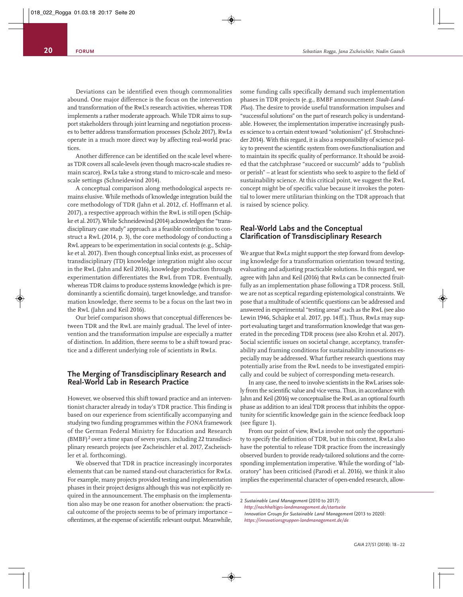Deviations can be identified even though commonalities abound. One major difference is the focus on the intervention and transformation of the RwL's research activities, whereas TDR implements a rather moderate approach. While TDR aims to support stakeholders through joint learning and negotiation processes to better address transformation processes (Scholz 2017), RwLs operate in a much more direct way by affecting real-world practices.

Another difference can be identified on the scale level whereas TDR covers all scale-levels (even though macro-scale studies remain scarce), RwLs take a strong stand to micro-scale and mesoscale settings (Schneidewind 2014).

A conceptual comparison along methodological aspects remains elusive. While methods of knowledge integration build the core methodology of TDR (Jahn et al. 2012, cf. Hoffmann et al. 2017), a respective approach within the RwL is still open (Schäpke et al. 2017). While Schneidewind (2014) acknowledges the "transdisciplinary case study" approach as a feasible contribution to construct a RwL (2014, p. 3), the core methodology of conducting a RwL appears to be experimentation in social contexts (e.g., Schäpke et al. 2017). Even though conceptual links exist, as processes of transdisciplinary (TD) knowledge integration might also occur in the RwL (Jahn and Keil 2016), knowledge production through experimentation differentiates the RwL from TDR. Eventually, whereas TDR claims to produce systems knowledge (which is predominantly a scientific domain), target knowledge, and transformation knowledge, there seems to be a focus on the last two in the RwL (Jahn and Keil 2016).

Our brief comparison shows that conceptual differences between TDR and the RwL are mainly gradual. The level of intervention and the transformation impulse are especially a matter of distinction. In addition, there seems to be a shift toward practice and a different underlying role of scientists in RwLs.

## **The Merging of Transdisciplinary Research and Real-World Lab in Research Practice**

However, we observed this shift toward practice and an interventionist character already in today's TDR practice. This finding is based on our experience from scientifically accompanying and studying two funding programmes within the *FONA* framework of the German Federal Ministry for Education and Research  $(BMBF)^2$  over a time span of seven years, including 22 transdisciplinary research projects (see Zscheischler et al. 2017, Zscheischler et al. forthcoming).

We observed that TDR in practice increasingly incorporates elements that can be named stand-out characteristics for RwLs. For example, many projects provided testing and implementation phases in their project designs although this was not explicitly required in the announcement. The emphasis on the implementation also may be one reason for another observation: the practical outcome of the projects seems to be of primary importance – oftentimes, at the expense of scientific relevant output. Meanwhile,

some funding calls specifically demand such implementation phases in TDR projects (e.g., BMBF announcement *Stadt-Land-Plus*). The desire to provide useful transformation impulses and "successful solutions" on the part of research policy is understand able. However, the implementation imperative increasingly pushes science to a certain extent toward "solutionism" (cf. Strohschneider 2014). With this regard, it is also a responsibility of science policy to prevent the scientific system from over-functionalisation and to maintain its specific quality of performance. It should be avoided that the catchphrase "succeed or succumb" adds to "publish or perish" – at least for scientists who seek to aspire to the field of sus tainability science. At this critical point, we suggest the RwL concept might be of specific value because it invokes the potential to lower mere utilitarian thinking on the TDR approach that is raised by science policy.

## **Real-World Labs and the Conceptual Clarification of Transdisciplinary Research**

We argue that RwLs might support the step forward from developing knowledge for a transformation orientation toward testing, evaluating and adjusting practicable solutions. In this regard, we agree with Jahn and Keil (2016) that RwLs can be connected fruitfully as an implementation phase following a TDR process. Still, we are not as sceptical regarding epistemological constraints. We pose that a multitude of scientific questions can be addressed and answered in experimental "testing areas" such as the RwL (see also Lewin 1946, Schäpke et al. 2017, pp. 14ff.). Thus, RwLs may support evaluating target and transformation knowledge that was generated in the preceding TDR process (see also Krohn et al. 2017). Social scientific issues on societal change, acceptancy, transferability and framing conditions for sustainability innovations especially may be addressed. What further research questions may potentially arise from the RwL needs to be investigated empiri cally and could be subject of corresponding meta-research.

In any case, the need to involve scientists in the RwL arises sole ly from the scientific value and vice versa. Thus, in accordance with Jahn and Keil (2016) we conceptualise the RwL as an optional fourth phase as addition to an ideal TDR process that inhibits the opportunity for scientific knowledge gain in the science feedback loop (see figure 1).

From our point of view, RwLs involve not only the opportunity to specify the definition of TDR, but in this context, RwLs also have the potential to release TDR practice from the increasingly observed burden to provide ready-tailored solutions and the corre sponding implementation imperative. While the wording of "laboratory" has been criticised (Parodi et al. 2016), we think it also implies the experimental character of open-ended research, allow-

<sup>2</sup> *Sustainable Land Management*(2010 to 2017): *http://nachhaltiges-landmanagement.de/startseite*

*Innovation Groups for Sustainable Land Management*(2013 to 2020): *https://innovationsgruppen-landmanagement.de/de*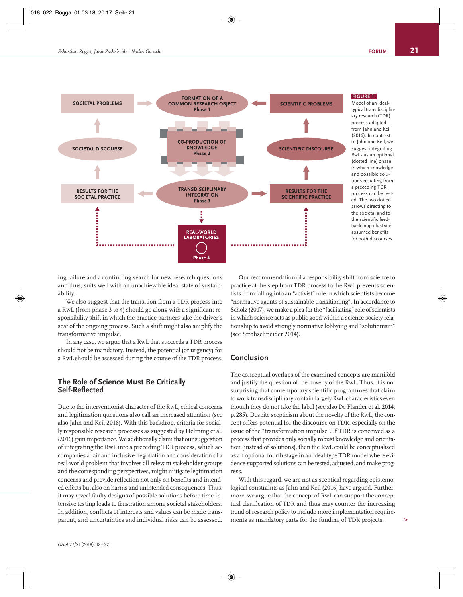

Phase 4

#### **FIGURE 1:**

typical transdisciplin ary research (TDR) process adapted from Jahn and Keil (2016). In contrast to Jahn and Keil, we suggest integrating RwLs as an optional (dotted line) phase in which knowledge and possible solutions resulting from a preceding TDR process can be tested. The two dotted arrows directing to the societal and to the scientific feedback loop illustrate assumed benefits for both discourses.

ing failure and a continuing search for new research questions and thus, suits well with an unachievable ideal state of sustainability.

We also suggest that the transition from a TDR process into a RwL (from phase 3 to 4) should go along with a significant responsibility shift in which the practice partners take the driver's seat of the ongoing process. Such a shift might also amplify the transformative impulse.

In any case, we argue that a RwL that succeeds a TDR process should not be mandatory. Instead, the potential (or urgency) for a RwL should be assessed during the course of the TDR process.

### **The Role of Science Must Be Critically Self-Reflected**

Due to the interventionist character of the RwL, ethical concerns and legitimation questions also call an increased attention (see also Jahn and Keil 2016). With this backdrop, criteria for socially responsible research processes as suggested by Helming et al. (2016) gain importance. We additionally claim that our suggestion of integrating the RwL into a preceding TDR process, which accompanies a fair and inclusive negotiation and consideration of a real-world problem that involves all relevant stakeholder groups and the corresponding perspectives, might mitigate legitimation concerns and provide reflection not only on benefits and intended effects but also on harms and unintended consequences. Thus, it may reveal faulty designs of possible solutions before time-intensive testing leads to frustration among societal stakeholders. In addition, conflicts of interests and values can be made transparent, and uncertainties and individual risks can be assessed.

practice at the step from TDR process to the RwL prevents scientists from falling into an "activist" role in which scientists become "normative agents of sustainable transitioning". In accordance to Scholz (2017), we make a plea for the "facilitating" role of scientists in which science acts as public good within a science-society relationship to avoid strongly normative lobbying and "solutionism" (see Strohschneider 2014).

Our recommendation of a responsibility shift from science to

# **Conclusion**

The conceptual overlaps of the examined concepts are manifold and justify the question of the novelty of the RwL. Thus, it is not surprising that contemporary scientific programmes that claim to work transdisciplinary contain largely RwL characteristics even though they do not take the label (see also De Flander et al. 2014, p.285). Despite scepticism about the novelty of the RwL, the concept offers potential for the discourse on TDR, especially on the issue of the "transformation impulse". If TDR is conceived as a process that provides only socially robust knowledge and orienta tion (instead of solutions), then the RwL could be conceptualised as an optional fourth stage in an ideal-type TDR model where evi dence-supported solutions can be tested, adjusted, and make progress.

With this regard, we are not as sceptical regarding epistemological constraints as Jahn and Keil (2016) have argued. Furthermore, we argue that the concept of RwL can support the conceptual clarification of TDR and thus may counter the increasing trend of research policy to include more implementation requirements as mandatory parts for the funding of TDR projects. **>**